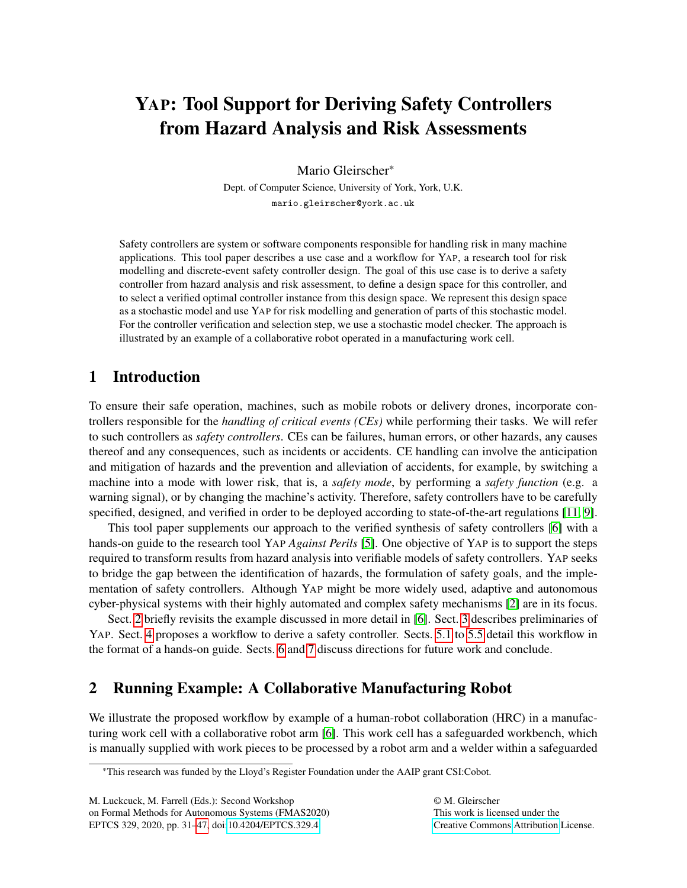# <span id="page-0-1"></span>YAP: Tool Support for Deriving Safety Controllers from Hazard Analysis and Risk Assessments

Mario Gleirscher\*

Dept. of Computer Science, University of York, York, U.K. mario.gleirscher@york.ac.uk

Safety controllers are system or software components responsible for handling risk in many machine applications. This tool paper describes a use case and a workflow for YAP, a research tool for risk modelling and discrete-event safety controller design. The goal of this use case is to derive a safety controller from hazard analysis and risk assessment, to define a design space for this controller, and to select a verified optimal controller instance from this design space. We represent this design space as a stochastic model and use YAP for risk modelling and generation of parts of this stochastic model. For the controller verification and selection step, we use a stochastic model checker. The approach is illustrated by an example of a collaborative robot operated in a manufacturing work cell.

# 1 Introduction

To ensure their safe operation, machines, such as mobile robots or delivery drones, incorporate controllers responsible for the *handling of critical events (CEs)* while performing their tasks. We will refer to such controllers as *safety controllers*. CEs can be failures, human errors, or other hazards, any causes thereof and any consequences, such as incidents or accidents. CE handling can involve the anticipation and mitigation of hazards and the prevention and alleviation of accidents, for example, by switching a machine into a mode with lower risk, that is, a *safety mode*, by performing a *safety function* (e.g. a warning signal), or by changing the machine's activity. Therefore, safety controllers have to be carefully specified, designed, and verified in order to be deployed according to state-of-the-art regulations [\[11,](#page-15-0) [9\]](#page-15-1).

This tool paper supplements our approach to the verified synthesis of safety controllers [\[6\]](#page-15-2) with a hands-on guide to the research tool YAP *Against Perils* [\[5\]](#page-15-3). One objective of YAP is to support the steps required to transform results from hazard analysis into verifiable models of safety controllers. YAP seeks to bridge the gap between the identification of hazards, the formulation of safety goals, and the implementation of safety controllers. Although YAP might be more widely used, adaptive and autonomous cyber-physical systems with their highly automated and complex safety mechanisms [\[2\]](#page-15-4) are in its focus.

Sect. [2](#page-0-0) briefly revisits the example discussed in more detail in [\[6\]](#page-15-2). Sect. [3](#page-1-0) describes preliminaries of YAP. Sect. [4](#page-1-1) proposes a workflow to derive a safety controller. Sects. [5.1](#page-3-0) to [5.5](#page-10-0) detail this workflow in the format of a hands-on guide. Sects. [6](#page-13-0) and [7](#page-14-0) discuss directions for future work and conclude.

# <span id="page-0-0"></span>2 Running Example: A Collaborative Manufacturing Robot

We illustrate the proposed workflow by example of a human-robot collaboration (HRC) in a manufacturing work cell with a collaborative robot arm [\[6\]](#page-15-2). This work cell has a safeguarded workbench, which is manually supplied with work pieces to be processed by a robot arm and a welder within a safeguarded

© M. Gleirscher This work is licensed under the [Creative Commons](http://creativecommons.org) [Attribution](http://creativecommons.org/licenses/by/3.0/) License.

<sup>\*</sup>This research was funded by the Lloyd's Register Foundation under the AAIP grant CSI:Cobot.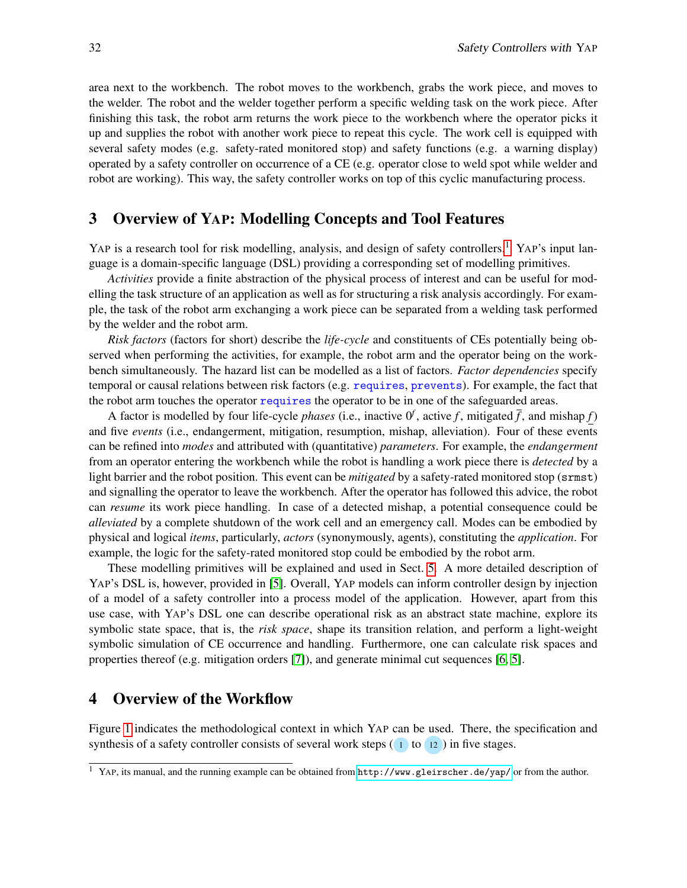area next to the workbench. The robot moves to the workbench, grabs the work piece, and moves to the welder. The robot and the welder together perform a specific welding task on the work piece. After finishing this task, the robot arm returns the work piece to the workbench where the operator picks it up and supplies the robot with another work piece to repeat this cycle. The work cell is equipped with several safety modes (e.g. safety-rated monitored stop) and safety functions (e.g. a warning display) operated by a safety controller on occurrence of a CE (e.g. operator close to weld spot while welder and robot are working). This way, the safety controller works on top of this cyclic manufacturing process.

### <span id="page-1-0"></span>3 Overview of YAP: Modelling Concepts and Tool Features

YAP is a research tool for risk modelling, analysis, and design of safety controllers.<sup>[1](#page-0-1)</sup> YAP's input language is a domain-specific language (DSL) providing a corresponding set of modelling primitives.

*Activities* provide a finite abstraction of the physical process of interest and can be useful for modelling the task structure of an application as well as for structuring a risk analysis accordingly. For example, the task of the robot arm exchanging a work piece can be separated from a welding task performed by the welder and the robot arm.

*Risk factors* (factors for short) describe the *life-cycle* and constituents of CEs potentially being observed when performing the activities, for example, the robot arm and the operator being on the workbench simultaneously. The hazard list can be modelled as a list of factors. *Factor dependencies* specify temporal or causal relations between risk factors (e.g. requires, prevents). For example, the fact that the robot arm touches the operator requires the operator to be in one of the safeguarded areas.

A factor is modelled by four life-cycle *phases* (i.e., inactive  $0^f$ , active f, mitigated  $\bar{f}$ , and mishap f) and five *events* (i.e., endangerment, mitigation, resumption, mishap, alleviation). Four of these events can be refined into *modes* and attributed with (quantitative) *parameters*. For example, the *endangerment* from an operator entering the workbench while the robot is handling a work piece there is *detected* by a light barrier and the robot position. This event can be *mitigated* by a safety-rated monitored stop (srmst) and signalling the operator to leave the workbench. After the operator has followed this advice, the robot can *resume* its work piece handling. In case of a detected mishap, a potential consequence could be *alleviated* by a complete shutdown of the work cell and an emergency call. Modes can be embodied by physical and logical *items*, particularly, *actors* (synonymously, agents), constituting the *application*. For example, the logic for the safety-rated monitored stop could be embodied by the robot arm.

These modelling primitives will be explained and used in Sect. [5.](#page-3-1) A more detailed description of YAP's DSL is, however, provided in [\[5\]](#page-15-3). Overall, YAP models can inform controller design by injection of a model of a safety controller into a process model of the application. However, apart from this use case, with YAP's DSL one can describe operational risk as an abstract state machine, explore its symbolic state space, that is, the *risk space*, shape its transition relation, and perform a light-weight symbolic simulation of CE occurrence and handling. Furthermore, one can calculate risk spaces and properties thereof (e.g. mitigation orders [\[7\]](#page-15-5)), and generate minimal cut sequences [\[6,](#page-15-2) [5\]](#page-15-3).

## <span id="page-1-1"></span>4 Overview of the Workflow

Figure [1](#page-2-0) indicates the methodological context in which YAP can be used. There, the specification and synthesis of a safety controller consists of several work steps (1 to 12) in five stages.

<sup>1</sup> YAP, its manual, and the running example can be obtained from <http://www.gleirscher.de/yap/> or from the author.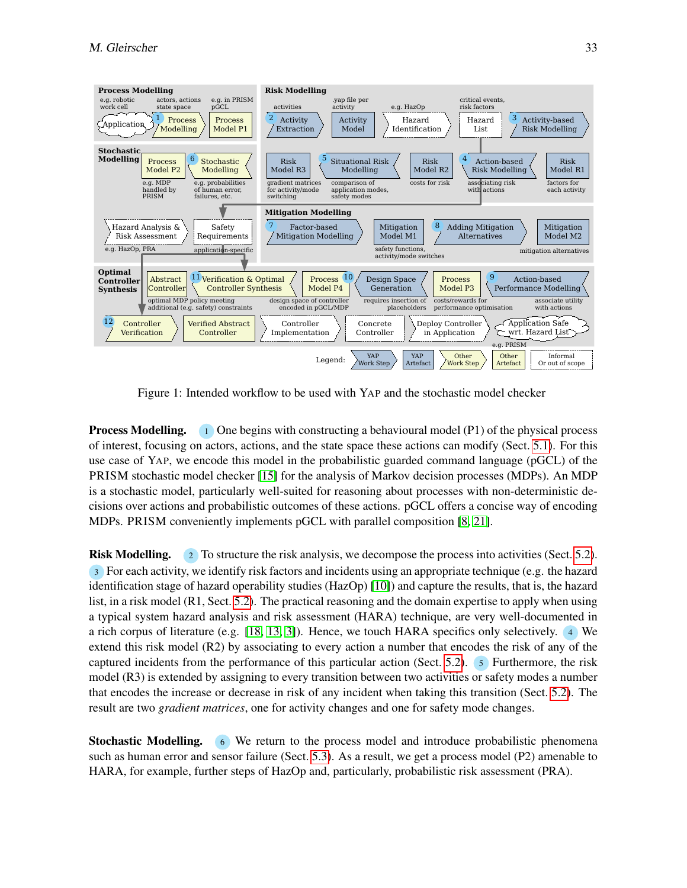

<span id="page-2-0"></span>Figure 1: Intended workflow to be used with YAP and the stochastic model checker

**Process Modelling.** 1 One begins with constructing a behavioural model  $(P1)$  of the physical process of interest, focusing on actors, actions, and the state space these actions can modify (Sect. [5.1\)](#page-3-0). For this use case of YAP, we encode this model in the probabilistic guarded command language (pGCL) of the PRISM stochastic model checker [\[15\]](#page-15-6) for the analysis of Markov decision processes (MDPs). An MDP is a stochastic model, particularly well-suited for reasoning about processes with non-deterministic decisions over actions and probabilistic outcomes of these actions. pGCL offers a concise way of encoding MDPs. PRISM conveniently implements pGCL with parallel composition [\[8,](#page-15-7) [21\]](#page-16-1).

Risk Modelling. 2 To structure the risk analysis, we decompose the process into activities (Sect. [5.2\)](#page-4-0). 3 For each activity, we identify risk factors and incidents using an appropriate technique (e.g. the hazard identification stage of hazard operability studies (HazOp) [\[10\]](#page-15-8)) and capture the results, that is, the hazard list, in a risk model (R1, Sect. [5.2\)](#page-4-1). The practical reasoning and the domain expertise to apply when using a typical system hazard analysis and risk assessment (HARA) technique, are very well-documented in a rich corpus of literature (e.g. [\[18,](#page-15-9) [13,](#page-15-10) [3\]](#page-15-11)). Hence, we touch HARA specifics only selectively. <sup>4</sup> We extend this risk model (R2) by associating to every action a number that encodes the risk of any of the captured incidents from the performance of this particular action (Sect. [5.2\)](#page-5-0). <sup>5</sup> Furthermore, the risk model (R3) is extended by assigning to every transition between two activities or safety modes a number that encodes the increase or decrease in risk of any incident when taking this transition (Sect. [5.2\)](#page-6-0). The result are two *gradient matrices*, one for activity changes and one for safety mode changes.

Stochastic Modelling. <sup>6</sup> We return to the process model and introduce probabilistic phenomena such as human error and sensor failure (Sect. [5.3\)](#page-7-0). As a result, we get a process model (P2) amenable to HARA, for example, further steps of HazOp and, particularly, probabilistic risk assessment (PRA).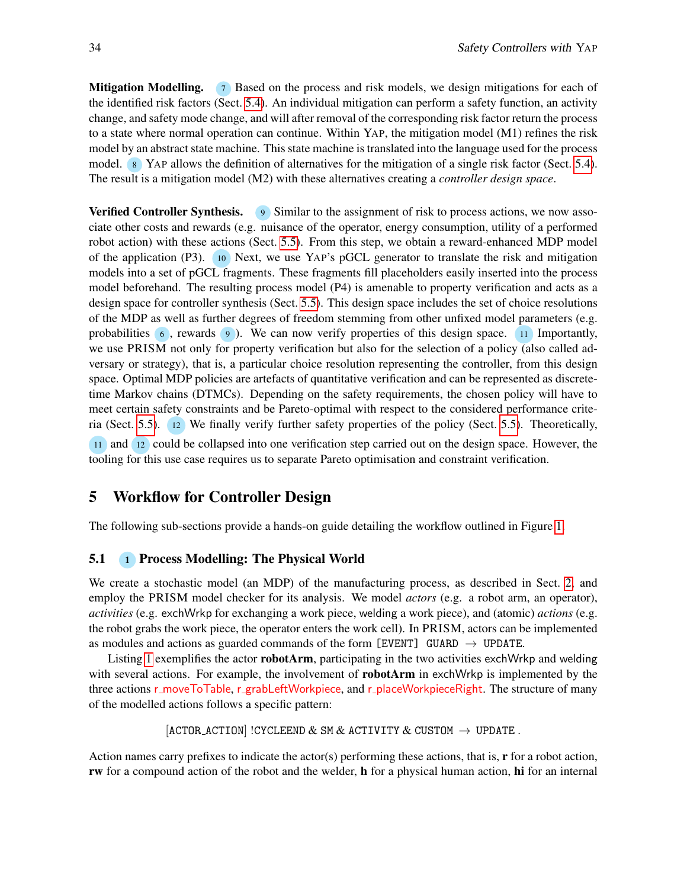**Mitigation Modelling.** 7 Based on the process and risk models, we design mitigations for each of the identified risk factors (Sect. [5.4\)](#page-8-0). An individual mitigation can perform a safety function, an activity change, and safety mode change, and will after removal of the corresponding risk factor return the process to a state where normal operation can continue. Within YAP, the mitigation model (M1) refines the risk model by an abstract state machine. This state machine is translated into the language used for the process model. 8 YAP allows the definition of alternatives for the mitigation of a single risk factor (Sect. [5.4\)](#page-9-0). The result is a mitigation model (M2) with these alternatives creating a *controller design space*.

**Verified Controller Synthesis.** 9 Similar to the assignment of risk to process actions, we now associate other costs and rewards (e.g. nuisance of the operator, energy consumption, utility of a performed robot action) with these actions (Sect. [5.5\)](#page-10-1). From this step, we obtain a reward-enhanced MDP model of the application (P3). <sup>10</sup> Next, we use YAP's pGCL generator to translate the risk and mitigation models into a set of pGCL fragments. These fragments fill placeholders easily inserted into the process model beforehand. The resulting process model (P4) is amenable to property verification and acts as a design space for controller synthesis (Sect. [5.5\)](#page-10-2). This design space includes the set of choice resolutions of the MDP as well as further degrees of freedom stemming from other unfixed model parameters (e.g. probabilities  $\epsilon$ , rewards  $\epsilon$ ). We can now verify properties of this design space. 11 Importantly, we use PRISM not only for property verification but also for the selection of a policy (also called adversary or strategy), that is, a particular choice resolution representing the controller, from this design space. Optimal MDP policies are artefacts of quantitative verification and can be represented as discretetime Markov chains (DTMCs). Depending on the safety requirements, the chosen policy will have to meet certain safety constraints and be Pareto-optimal with respect to the considered performance criteria (Sect. [5.5\)](#page-11-0). <sup>12</sup> We finally verify further safety properties of the policy (Sect. [5.5\)](#page-12-0). Theoretically,

11 and 12 could be collapsed into one verification step carried out on the design space. However, the tooling for this use case requires us to separate Pareto optimisation and constraint verification.

## <span id="page-3-1"></span>5 Workflow for Controller Design

The following sub-sections provide a hands-on guide detailing the workflow outlined in Figure [1.](#page-2-0)

#### <span id="page-3-0"></span>5.1 **1 Process Modelling: The Physical World**

We create a stochastic model (an MDP) of the manufacturing process, as described in Sect. [2,](#page-0-0) and employ the PRISM model checker for its analysis. We model *actors* (e.g. a robot arm, an operator), *activities* (e.g. exchWrkp for exchanging a work piece, welding a work piece), and (atomic) *actions* (e.g. the robot grabs the work piece, the operator enters the work cell). In PRISM, actors can be implemented as modules and actions as guarded commands of the form [EVENT] GUARD  $\rightarrow$  UPDATE.

Listing [1](#page-4-2) exemplifies the actor **robotArm**, participating in the two activities exchWrkp and welding with several actions. For example, the involvement of **robotArm** in exchWrkp is implemented by the three actions r\_moveToTable, r\_grabLeftWorkpiece, and r\_placeWorkpieceRight. The structure of many of the modelled actions follows a specific pattern:

```
[ACTOR_ACTION] !CYCLEEND & SM & ACTIVITY & CUSTOM \rightarrow UPDATE.
```
Action names carry prefixes to indicate the actor(s) performing these actions, that is, r for a robot action, rw for a compound action of the robot and the welder, h for a physical human action, hi for an internal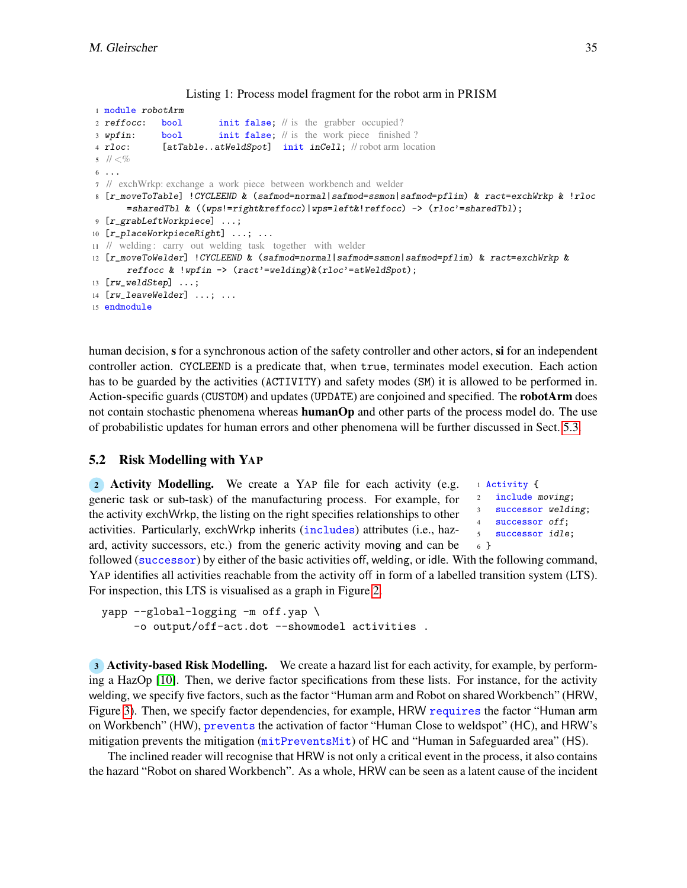```
1 module robotArm
2 reffocc: bool init false; // is the grabber occupied?
3 wpfin: bool init false; // is the work piece finished ?
4 rloc: [atTable..atWeldSpot] init inCell; // robot arm location
5 11 < \%6 ...
7 // exchWrkp: exchange a work piece between workbench and welder
8 [r_moveToTable] !CYCLEEND & (safmod=normal|safmod=ssmon|safmod=pflim) & ract=exchWrkp & !rloc
      =sharedTbl & ((wps!=right&reffocc)|wps=left&!reffocc) -> (rloc'=sharedTbl);
9 [r_grabLeftWorkpiece] ...;
10 [r_placeWorkpieceRight] ...; ...
11 // welding : carry out welding task together with welder
12 [r_moveToWelder] !CYCLEEND & (safmod=normal|safmod=ssmon|safmod=pflim) & ract=exchWrkp &
      reffocc & !wpfin -> (ract'=welding) & (rloc'=atWeldSpot);
13 [rw_weldStep] ...;
14 [rw_leaveWelder] ...; ...
15 endmodule
```
Listing 1: Process model fragment for the robot arm in PRISM

```
human decision, s for a synchronous action of the safety controller and other actors, si for an independent
controller action. CYCLEEND is a predicate that, when true, terminates model execution. Each action
has to be guarded by the activities (ACTIVITY) and safety modes (SM) it is allowed to be performed in.
Action-specific guards (CUSTOM) and updates (UPDATE) are conjoined and specified. The robotArm does
not contain stochastic phenomena whereas humanOp and other parts of the process model do. The use
of probabilistic updates for human errors and other phenomena will be further discussed in Sect. 5.3.
```
## 5.2 Risk Modelling with YAP

```
2 Activity Modelling. We create a YAP file for each activity (e.g.
generic task or sub-task) of the manufacturing process. For example, for
the activity exchWrkp, the listing on the right specifies relationships to other
activities. Particularly, exchWrkp inherits (includes) attributes (i.e., haz-
ard, activity successors, etc.) from the generic activity moving and can be
```
 Activity { include moving; successor welding; successor off; successor idle; <sup>6</sup> }

followed (successor) by either of the basic activities off, welding, or idle. With the following command, YAP identifies all activities reachable from the activity off in form of a labelled transition system (LTS). For inspection, this LTS is visualised as a graph in Figure [2.](#page-5-1)

yapp --global-logging -m off.yap \ -o output/off-act.dot --showmodel activities.

<span id="page-4-1"></span><sup>3</sup> Activity-based Risk Modelling. We create a hazard list for each activity, for example, by performing a HazOp [\[10\]](#page-15-8). Then, we derive factor specifications from these lists. For instance, for the activity welding, we specify five factors, such as the factor "Human arm and Robot on shared Workbench" (HRW, Figure [3\)](#page-5-2). Then, we specify factor dependencies, for example, HRW requires the factor "Human arm on Workbench" (HW), prevents the activation of factor "Human Close to weldspot" (HC), and HRW's mitigation prevents the mitigation ( $mitPreventsMit$ ) of HC and "Human in Safeguarded area" (HS).

The inclined reader will recognise that HRW is not only a critical event in the process, it also contains the hazard "Robot on shared Workbench". As a whole, HRW can be seen as a latent cause of the incident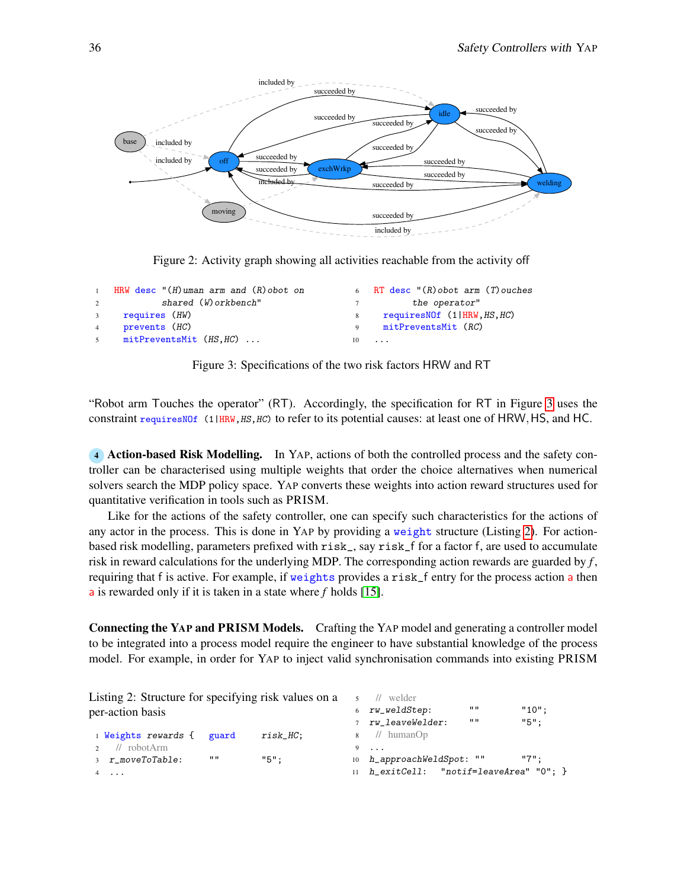

<span id="page-5-1"></span>Figure 2: Activity graph showing all activities reachable from the activity off

|             | HRW desc $''(H)$ uman arm and $(R)$ obot on               |              | 6 RT desc $\lceil (R) \text{obot arm} (T) \text{ouches}$ |
|-------------|-----------------------------------------------------------|--------------|----------------------------------------------------------|
|             | shared (W) orkbench"<br>$\overline{2}$ and $\overline{2}$ |              | the operator"                                            |
| $3^{\circ}$ | requires (HW)                                             | 8            | requiresNOf (1 HRW, HS, HC)                              |
| 4           | prevents (HC)                                             | $\mathbf{Q}$ | mitPreventsMit (RC)                                      |
| $5^{\circ}$ | mitPreventsMit (HS,HC)                                    |              | $10 \ldots$                                              |

<span id="page-5-2"></span>Figure 3: Specifications of the two risk factors HRW and RT

"Robot arm Touches the operator" (RT). Accordingly, the specification for RT in Figure [3](#page-5-2) uses the constraint requiresNOf (1|HRW, HS, HC) to refer to its potential causes: at least one of HRW, HS, and HC.

<span id="page-5-0"></span><sup>4</sup> Action-based Risk Modelling. In YAP, actions of both the controlled process and the safety controller can be characterised using multiple weights that order the choice alternatives when numerical solvers search the MDP policy space. YAP converts these weights into action reward structures used for quantitative verification in tools such as PRISM.

Like for the actions of the safety controller, one can specify such characteristics for the actions of any actor in the process. This is done in YAP by providing a weight structure (Listing [2\)](#page-5-3). For actionbased risk modelling, parameters prefixed with risk\_, say risk\_f for a factor f, are used to accumulate risk in reward calculations for the underlying MDP. The corresponding action rewards are guarded by *f* , requiring that f is active. For example, if weights provides a risk\_f entry for the process action a then a is rewarded only if it is taken in a state where *f* holds [\[15\]](#page-15-6).

Connecting the YAP and PRISM Models. Crafting the YAP model and generating a controller model to be integrated into a process model require the engineer to have substantial knowledge of the process model. For example, in order for YAP to inject valid synchronisation commands into existing PRISM

 $\frac{1}{\sqrt{2}}$  welder

<span id="page-5-3"></span>Listing 2: Structure for specifying risk values on a per-action basis

| 1 Weights rewards { guard |      | $risk\_HC;$ |
|---------------------------|------|-------------|
| $\frac{1}{2}$ // robotArm |      |             |
| 3 r moveToTable:          | 1111 | $"5"$ :     |
| $4 \cdot \cdot \cdot$     |      |             |

|     | 6 rw_weldStep:                       | 1111 | $"10"$ : |  |
|-----|--------------------------------------|------|----------|--|
|     | rw_leaveWelder:                      | 1111 | $"5"$ :  |  |
|     | 8 // humanOp                         |      |          |  |
| - 9 | $\cdots$                             |      |          |  |
|     | 10 h_approachWeldSpot:               | 11 H | $"7"$ :  |  |
| 11  | h_exitCell: "notif=leaveArea" "0"; } |      |          |  |
|     |                                      |      |          |  |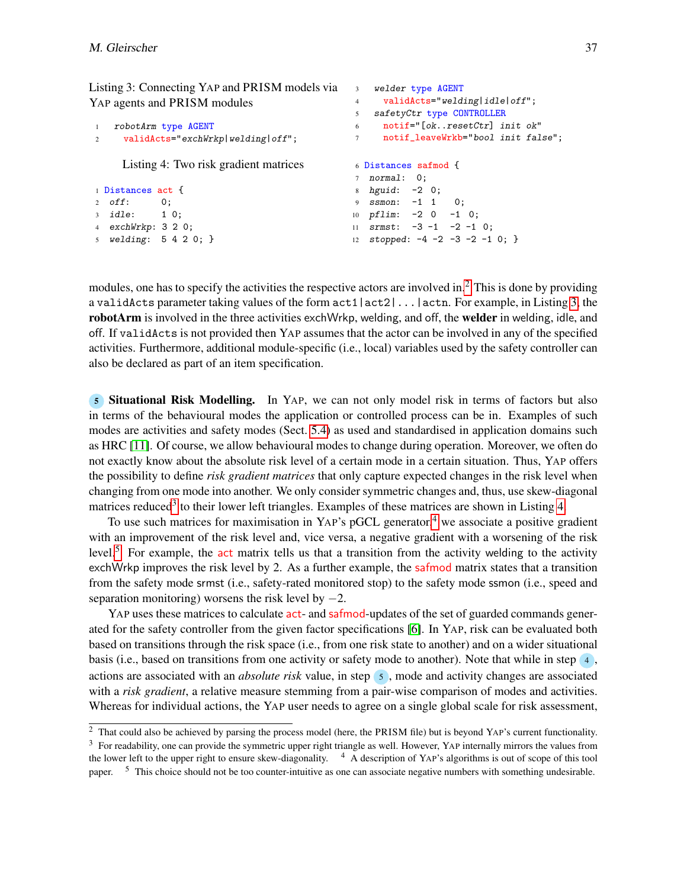<span id="page-6-1"></span>Listing 3: Connecting YAP and PRISM models via YAP agents and PRISM modules

```
1 robotArm type AGENT
2 validActs="exchWrkp|welding|off";
                                             5 safetyCtr type CONTROLLER
                                             6 notif="[ok..resetCtr] init ok"
                                             7 notif_leaveWrkb="bool init false";
    Listing 4: Two risk gradient matrices
1 Distances act {
2 off: 0;
3 idle: 1 0;
4 exchWrkp: 3 2 0;
5 welding: 5 4 2 0; }
                                             6 Distances safmod {
                                             7 normal: 0;
                                            8 hguid: -2 0;
                                            9 ssmon: -1 1 0;
                                            10 pflim: -2 0 -1 0;
                                            11 srmst: -3 -1 -2 -1 0;12 stopped: -4 -2 -3 -2 -1 0; }
```
<sup>3</sup> welder type AGENT

<sup>4</sup> validActs="welding|idle|off";

modules, one has to specify the activities the respective actors are involved in.<sup>[2](#page-0-1)</sup> This is done by providing a validActs parameter taking values of the form act1|act2|...|actn. For example, in Listing [3,](#page-6-1) the robotArm is involved in the three activities exchWrkp, welding, and off, the welder in welding, idle, and off. If validActs is not provided then YAP assumes that the actor can be involved in any of the specified activities. Furthermore, additional module-specific (i.e., local) variables used by the safety controller can also be declared as part of an item specification.

<span id="page-6-0"></span><sup>5</sup> Situational Risk Modelling. In YAP, we can not only model risk in terms of factors but also in terms of the behavioural modes the application or controlled process can be in. Examples of such modes are activities and safety modes (Sect. [5.4\)](#page-8-0) as used and standardised in application domains such as HRC [\[11\]](#page-15-0). Of course, we allow behavioural modes to change during operation. Moreover, we often do not exactly know about the absolute risk level of a certain mode in a certain situation. Thus, YAP offers the possibility to define *risk gradient matrices* that only capture expected changes in the risk level when changing from one mode into another. We only consider symmetric changes and, thus, use skew-diagonal matrices reduced<sup>[3](#page-0-1)</sup> to their lower left triangles. Examples of these matrices are shown in Listing [4.](#page-6-2)

To use such matrices for maximisation in YAP's pGCL generator,<sup>[4](#page-0-1)</sup> we associate a positive gradient with an improvement of the risk level and, vice versa, a negative gradient with a worsening of the risk level.<sup>[5](#page-0-1)</sup> For example, the  $act$  matrix tells us that a transition from the activity welding to the activity exchWrkp improves the risk level by 2. As a further example, the safmod matrix states that a transition from the safety mode srmst (i.e., safety-rated monitored stop) to the safety mode ssmon (i.e., speed and separation monitoring) worsens the risk level by  $-2$ .

YAP uses these matrices to calculate act- and safmod-updates of the set of guarded commands generated for the safety controller from the given factor specifications [\[6\]](#page-15-2). In YAP, risk can be evaluated both based on transitions through the risk space (i.e., from one risk state to another) and on a wider situational basis (i.e., based on transitions from one activity or safety mode to another). Note that while in step (4), actions are associated with an *absolute risk* value, in step <sup>5</sup> , mode and activity changes are associated with a *risk gradient*, a relative measure stemming from a pair-wise comparison of modes and activities. Whereas for individual actions, the YAP user needs to agree on a single global scale for risk assessment,

<sup>2</sup> That could also be achieved by parsing the process model (here, the PRISM file) but is beyond YAP's current functionality.  $3$  For readability, one can provide the symmetric upper right triangle as well. However, YAP internally mirrors the values from the lower left to the upper right to ensure skew-diagonality. <sup>4</sup> A description of YAP's algorithms is out of scope of this tool paper. <sup>5</sup> This choice should not be too counter-intuitive as one can associate negative numbers with something undesirable.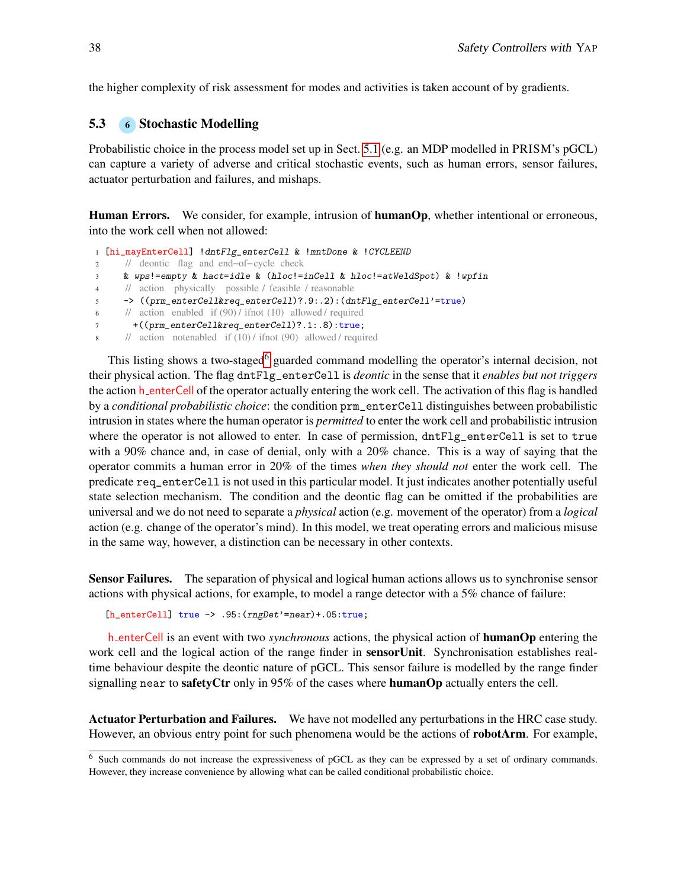the higher complexity of risk assessment for modes and activities is taken account of by gradients.

#### <span id="page-7-0"></span>5.3 6 Stochastic Modelling

Probabilistic choice in the process model set up in Sect. [5.1](#page-3-0) (e.g. an MDP modelled in PRISM's pGCL) can capture a variety of adverse and critical stochastic events, such as human errors, sensor failures, actuator perturbation and failures, and mishaps.

Human Errors. We consider, for example, intrusion of humanOp, whether intentional or erroneous, into the work cell when not allowed:

```
1 [hi_mayEnterCell] !dntFlg_enterCell & !mntDone & !CYCLEEND
2 // deontic flag and end−of−cycle check
3 & wps!=empty & hact=idle & (hloc!=inCell & hloc!=atWeldSpot) & !wpfin
4 // action physically possible / feasible / reasonable
5 -> ((prm_enterCell&req_enterCell)?.9:.2):(dntFlg_enterCell'=true)
     1/ action enabled if (90) / ifnot (10) allowed / required
       7 +((prm_enterCell&req_enterCell)?.1:.8):true;
8 // action notenabled if (10) / ifnot (90) allowed / required
```
This listing shows a two-staged<sup>[6](#page-0-1)</sup> guarded command modelling the operator's internal decision, not their physical action. The flag dntFlg\_enterCell is *deontic* in the sense that it *enables but not triggers* the action h enterCell of the operator actually entering the work cell. The activation of this flag is handled by a *conditional probabilistic choice*: the condition prm\_enterCell distinguishes between probabilistic intrusion in states where the human operator is *permitted* to enter the work cell and probabilistic intrusion where the operator is not allowed to enter. In case of permission,  $\text{dntr}\right]$  enterCell is set to true with a 90% chance and, in case of denial, only with a 20% chance. This is a way of saying that the operator commits a human error in 20% of the times *when they should not* enter the work cell. The predicate req\_enterCell is not used in this particular model. It just indicates another potentially useful state selection mechanism. The condition and the deontic flag can be omitted if the probabilities are universal and we do not need to separate a *physical* action (e.g. movement of the operator) from a *logical* action (e.g. change of the operator's mind). In this model, we treat operating errors and malicious misuse in the same way, however, a distinction can be necessary in other contexts.

Sensor Failures. The separation of physical and logical human actions allows us to synchronise sensor actions with physical actions, for example, to model a range detector with a 5% chance of failure:

[h\_enterCell] true -> .95:(rngDet'=near)+.05:true;

h enterCell is an event with two *synchronous* actions, the physical action of humanOp entering the work cell and the logical action of the range finder in **sensorUnit**. Synchronisation establishes realtime behaviour despite the deontic nature of pGCL. This sensor failure is modelled by the range finder signalling near to safetyCtr only in  $95\%$  of the cases where humanOp actually enters the cell.

Actuator Perturbation and Failures. We have not modelled any perturbations in the HRC case study. However, an obvious entry point for such phenomena would be the actions of **robotArm**. For example,

<sup>6</sup> Such commands do not increase the expressiveness of pGCL as they can be expressed by a set of ordinary commands. However, they increase convenience by allowing what can be called conditional probabilistic choice.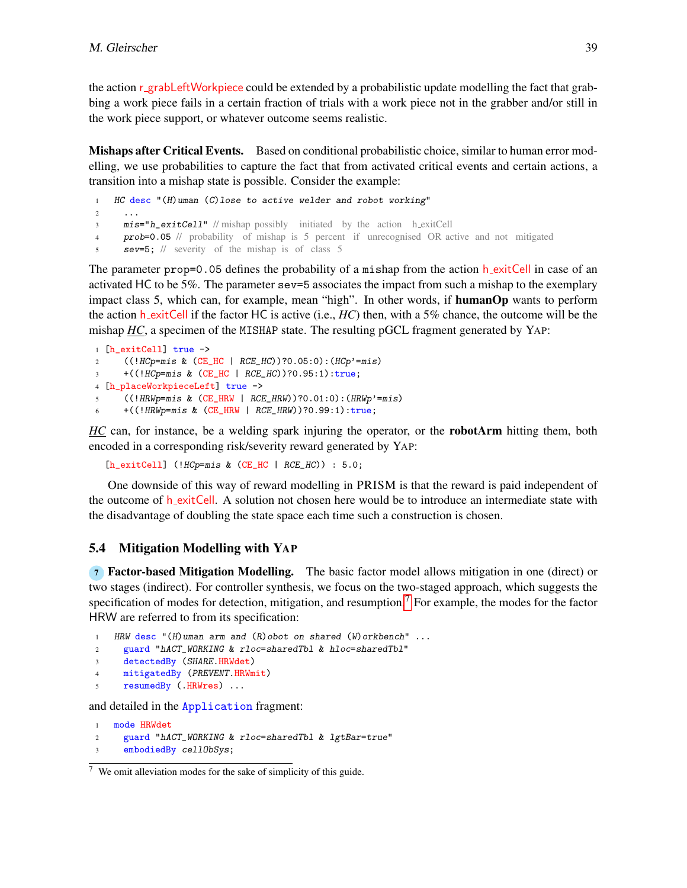the action r grabLeftWorkpiece could be extended by a probabilistic update modelling the fact that grabbing a work piece fails in a certain fraction of trials with a work piece not in the grabber and/or still in the work piece support, or whatever outcome seems realistic.

**Mishaps after Critical Events.** Based on conditional probabilistic choice, similar to human error modelling, we use probabilities to capture the fact that from activated critical events and certain actions, a transition into a mishap state is possible. Consider the example:

 HC desc "(H)uman (C)lose to active welder and robot working" 2  $\cdots$ **mis="h\_exitCell"** // mishap possibly initiated by the action h\_exitCell prob=0.05 // probability of mishap is 5 percent if unrecognised OR active and not mitigated sev=5; // severity of the mishap is of class 5

The parameter prop=0.05 defines the probability of a mishap from the action  $h$ -exitCell in case of an activated HC to be 5%. The parameter sev=5 associates the impact from such a mishap to the exemplary impact class 5, which can, for example, mean "high". In other words, if humanOp wants to perform the action h exitCell if the factor HC is active (i.e., *HC*) then, with a 5% chance, the outcome will be the mishap *HC*, a specimen of the MISHAP state. The resulting pGCL fragment generated by YAP:

```
1 [h_exitCell] true ->
2 ((!HCp=mis & (CE_HC | RCE_HC))?0.05:0):(HCp'=mis)
3 +((!HCp=mis & (CE_HC | RCE_HC))?0.95:1):true;
4 [h_placeWorkpieceLeft] true ->
5 ((!HRWp=mis & (CE_HRW | RCE_HRW))?0.01:0):(HRWp'=mis)
6 + ((!HRWp = mis \& (CE_HRW | RCE_HRW)?0.99:1):true;
```
*HC* can, for instance, be a welding spark injuring the operator, or the **robotArm** hitting them, both encoded in a corresponding risk/severity reward generated by YAP:

 $[h\_exitCell]$  (! $HCp = mis \& (CE\_HC | RCE\_HC)$ ) : 5.0;

One downside of this way of reward modelling in PRISM is that the reward is paid independent of the outcome of h\_exitCell. A solution not chosen here would be to introduce an intermediate state with the disadvantage of doubling the state space each time such a construction is chosen.

#### 5.4 Mitigation Modelling with YAP

<span id="page-8-0"></span><sup>7</sup> Factor-based Mitigation Modelling. The basic factor model allows mitigation in one (direct) or two stages (indirect). For controller synthesis, we focus on the two-staged approach, which suggests the specification of modes for detection, mitigation, and resumption.[7](#page-0-1) For example, the modes for the factor HRW are referred to from its specification:

```
1 HRW desc "(H)uman arm and (R)obot on shared (W)orkbench" ...
```
- <sup>2</sup> guard "hACT\_WORKING & rloc=sharedTbl & hloc=sharedTbl"
- <sup>3</sup> detectedBy (SHARE.HRWdet)
- <sup>4</sup> mitigatedBy (PREVENT.HRWmit)
- <sup>5</sup> resumedBy (.HRWres) ...

and detailed in the Application fragment:

```
1 mode HRWdet
2 guard "hACT_WORKING & rloc=sharedTbl & lgtBar=true"
3 embodiedBy cellObSys;
```
 $7$  We omit alleviation modes for the sake of simplicity of this guide.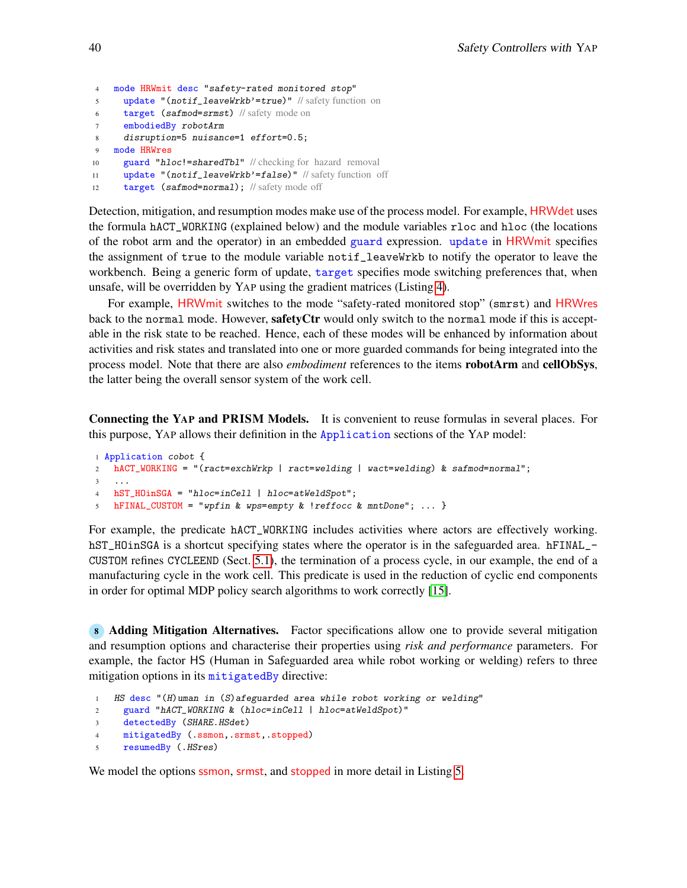```
4 mode HRWmit desc "safety-rated monitored stop"
5 update "(notif_leaveWrkb'=true)" // safety function on
6 target (safmod=srmst) // safety mode on
7 embodiedBy robotArm
8 disruption=5 nuisance=1 effort=0.5;
9 mode HRWres
10 guard "hloc!=sharedTbl" // checking for hazard removal
11 update "(notif_leaveWrkb'=false)" // safety function off
```

```
12 target (safmod=normal); // safety mode off
```
Detection, mitigation, and resumption modes make use of the process model. For example, HRWdet uses the formula hACT\_WORKING (explained below) and the module variables rloc and hloc (the locations of the robot arm and the operator) in an embedded guard expression. update in HRWmit specifies the assignment of true to the module variable notif\_leaveWrkb to notify the operator to leave the workbench. Being a generic form of update, target specifies mode switching preferences that, when unsafe, will be overridden by YAP using the gradient matrices (Listing [4\)](#page-6-2).

For example, HRWmit switches to the mode "safety-rated monitored stop" (smrst) and HRWres back to the normal mode. However, safetyCtr would only switch to the normal mode if this is acceptable in the risk state to be reached. Hence, each of these modes will be enhanced by information about activities and risk states and translated into one or more guarded commands for being integrated into the process model. Note that there are also *embodiment* references to the items robotArm and cellObSys, the latter being the overall sensor system of the work cell.

Connecting the YAP and PRISM Models. It is convenient to reuse formulas in several places. For this purpose, YAP allows their definition in the Application sections of the YAP model:

```
1 Application cobot {
2 hACT_WORKING = "(ract=exchWrkp | ract=welding | wact=welding) & safmod=normal";
3 \cdot \cdot \cdot4 hST_HOinSGA = "hloc=inCell | hloc=atWeldSpot";
5 hFINAL_CUSTOM = "wpfin & wps=empty & !reffocc & mntDone"; ... }
```
For example, the predicate hACT\_WORKING includes activities where actors are effectively working. hST\_HOinSGA is a shortcut specifying states where the operator is in the safeguarded area. hFINAL\_-CUSTOM refines CYCLEEND (Sect. [5.1\)](#page-3-0), the termination of a process cycle, in our example, the end of a manufacturing cycle in the work cell. This predicate is used in the reduction of cyclic end components in order for optimal MDP policy search algorithms to work correctly [\[15\]](#page-15-6).

<span id="page-9-0"></span><sup>8</sup> Adding Mitigation Alternatives. Factor specifications allow one to provide several mitigation and resumption options and characterise their properties using *risk and performance* parameters. For example, the factor HS (Human in Safeguarded area while robot working or welding) refers to three mitigation options in its mitigatedBy directive:

```
1 HS desc "(H)uman in (S)afeguarded area while robot working or welding"
```

```
2 guard "hACT_WORKING & (hloc=inCell | hloc=atWeldSpot)"
```

```
3 detectedBy (SHARE.HSdet)
```

```
4 mitigatedBy (.ssmon,.srmst,.stopped)
```

```
5 resumedBy (.HSres)
```
We model the options ssmon, srmst, and stopped in more detail in Listing [5.](#page-10-3)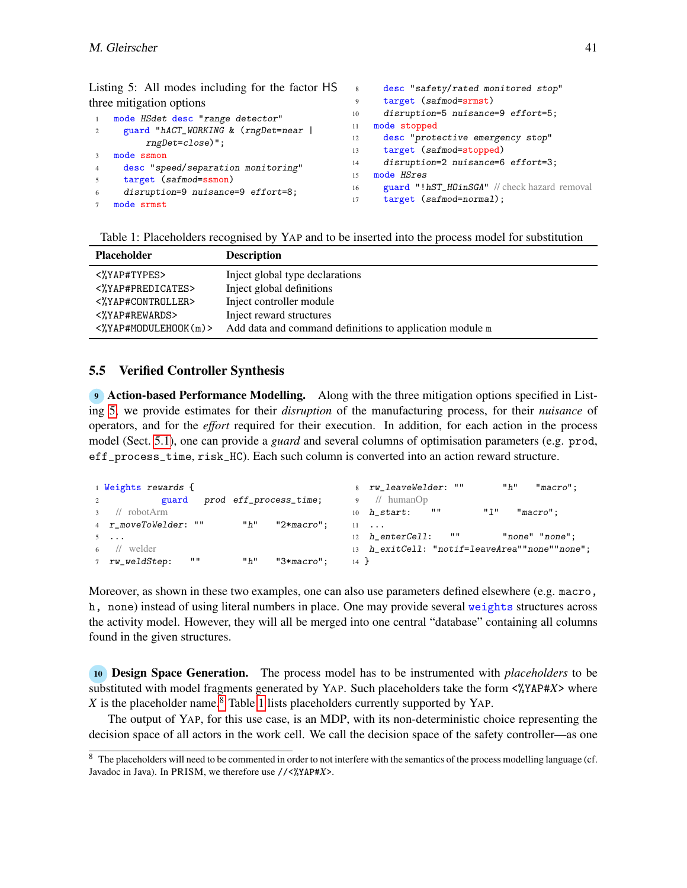|                          | Listing 5: All modes including for the factor HS | 8 <sup>8</sup> | desc "safety/rated monitored stop"           |
|--------------------------|--------------------------------------------------|----------------|----------------------------------------------|
| three mitigation options |                                                  | 9              | target (safmod=srmst)                        |
|                          | mode HSdet desc "range detector"                 |                | disruption=5 nuisance=9 effort=5;            |
|                          | guard "hACT_WORKING & (rngDet=near               | 11             | mode stopped                                 |
|                          | $rngDet = close)$ ";                             | 12             | desc "protective emergency stop"             |
|                          | mode ssmon                                       | 13             | target (safmod=stopped)                      |
|                          | desc "speed/separation monitoring"               | 14             | disruption=2 nuisance=6 effort=3;            |
|                          | target (safmod=ssmon)                            | 15             | mode HSres                                   |
| 6                        | disruption=9 nuisance=9 effort=8;                | 16             | guard "!hST_HOinSGA" // check hazard removal |
|                          |                                                  | 17             | target (safmod=normal);                      |
|                          | mode srmst                                       |                |                                              |

<span id="page-10-3"></span>Listing 5: All modes including for the factor HS

<span id="page-10-4"></span>Table 1: Placeholders recognised by YAP and to be inserted into the process model for substitution

| <b>Placeholder</b>                | <b>Description</b>                                       |
|-----------------------------------|----------------------------------------------------------|
| <%YAP#TYPES>                      | Inject global type declarations                          |
| <%YAP#PREDICATES>                 | Inject global definitions                                |
| <%YAP#CONTROLLER>                 | Inject controller module                                 |
| <%YAP#REWARDS>                    | Inject reward structures                                 |
| $\langle$ %YAP#MODULEHOOK $(m)$ > | Add data and command definitions to application module m |

### <span id="page-10-0"></span>5.5 Verified Controller Synthesis

<span id="page-10-1"></span><sup>9</sup> Action-based Performance Modelling. Along with the three mitigation options specified in Listing [5,](#page-10-3) we provide estimates for their *disruption* of the manufacturing process, for their *nuisance* of operators, and for the *effort* required for their execution. In addition, for each action in the process model (Sect. [5.1\)](#page-3-0), one can provide a *guard* and several columns of optimisation parameters (e.g. prod, eff\_process\_time, risk\_HC). Each such column is converted into an action reward structure.

```
1 Weights rewards {
2 guard prod eff_process_time;
3 // robotArm
4 r_moveToWelder: "" "h" "2*macro";
5 ...
6 // welder
7 rw\_weldStep: "" "h" "3*macro";
                                         8 rw_leaveWelder: "" "h" "macro";
                                         9 // humanOp
                                         10 h\_start: "" 1" "macro";
                                         11 ...
                                         12 h_enterCell: "" "none" "none";
                                         13 h_exitCell: "notif=leaveArea""none""none";
                                         14 }
```
Moreover, as shown in these two examples, one can also use parameters defined elsewhere (e.g. macro, h, none) instead of using literal numbers in place. One may provide several weights structures across the activity model. However, they will all be merged into one central "database" containing all columns found in the given structures.

<span id="page-10-2"></span><sup>10</sup> Design Space Generation. The process model has to be instrumented with *placeholders* to be substituted with model fragments generated by YAP. Such placeholders take the form <%YAP#*X*> where *X* is the placeholder name.<sup>[8](#page-0-1)</sup> Table [1](#page-10-4) lists placeholders currently supported by YAP.

The output of YAP, for this use case, is an MDP, with its non-deterministic choice representing the decision space of all actors in the work cell. We call the decision space of the safety controller—as one

<sup>&</sup>lt;sup>8</sup> The placeholders will need to be commented in order to not interfere with the semantics of the process modelling language (cf. Javadoc in Java). In PRISM, we therefore use //<%YAP#*X*>.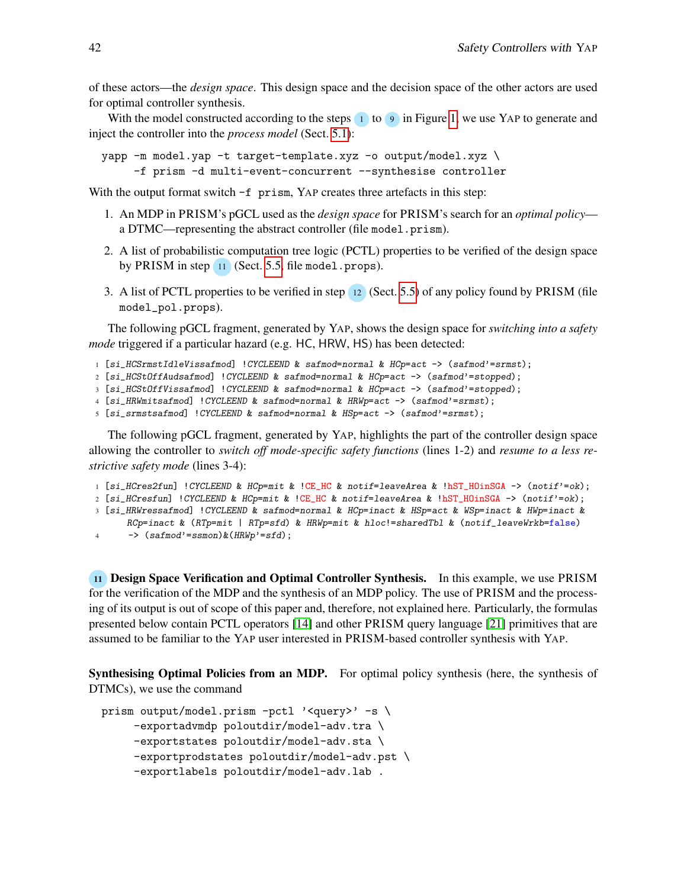of these actors—the *design space*. This design space and the decision space of the other actors are used for optimal controller synthesis.

With the model constructed according to the steps  $\overline{1}$  to  $\overline{9}$  in Figure [1,](#page-2-0) we use YAP to generate and inject the controller into the *process model* (Sect. [5.1\)](#page-3-0):

```
yapp -m model.yap -t target-template.xyz -o output/model.xyz \
     -f prism -d multi-event-concurrent --synthesise controller
```
With the output format switch  $-f$  prism, YAP creates three artefacts in this step:

- 1. An MDP in PRISM's pGCL used as the *design space* for PRISM's search for an *optimal policy* a DTMC—representing the abstract controller (file model.prism).
- 2. A list of probabilistic computation tree logic (PCTL) properties to be verified of the design space by PRISM in step  $\boxed{11}$  (Sect. [5.5,](#page-11-0) file model.props).
- 3. A list of PCTL properties to be verified in step <sup>12</sup> (Sect. [5.5\)](#page-12-0) of any policy found by PRISM (file model\_pol.props).

The following pGCL fragment, generated by YAP, shows the design space for *switching into a safety mode* triggered if a particular hazard (e.g. HC, HRW, HS) has been detected:

```
1 [si_HCSrmstIdleVissafmod] !CYCLEEND & safmod=normal & HCp=act -> (safmod'=srmst);
```

```
2 [si_HCStOffAudsafmod] !CYCLEEND & safmod=normal & HCp=act -> (safmod'=stopped);
```
<sup>3</sup> [si\_HCStOffVissafmod] !CYCLEEND & safmod=normal & HCp=act -> (safmod'=stopped);

```
4 [si_HRWmitsafmod] !CYCLEEND & safmod=normal & HRWp=act -> (safmod'=srmst);
```

```
5 [si_srmstsafmod] !CYCLEEND & safmod=normal & HSp=act -> (safmod'=srmst);
```
The following pGCL fragment, generated by YAP, highlights the part of the controller design space allowing the controller to *switch off mode-specific safety functions* (lines 1-2) and *resume to a less restrictive safety mode* (lines 3-4):

- <sup>1</sup> [si\_HCres2fun] !CYCLEEND & HCp=mit & !CE\_HC & notif=leaveArea & !hST\_HOinSGA -> (notif'=ok);
- <sup>2</sup> [si\_HCresfun] !CYCLEEND & HCp=mit & !CE\_HC & notif=leaveArea & !hST\_HOinSGA -> (notif'=ok);
- <sup>3</sup> [si\_HRWressafmod] !CYCLEEND & safmod=normal & HCp=inact & HSp=act & WSp=inact & HWp=inact &
- RCp=inact & (RTp=mit | RTp=sfd) & HRWp=mit & hloc!=sharedTbl & (notif\_leaveWrkb=false)
- 4 ->  $(safmod='ssmon)$ & $(HRWp'=sfd)$ ;

<span id="page-11-0"></span><sup>11</sup> Design Space Verification and Optimal Controller Synthesis. In this example, we use PRISM for the verification of the MDP and the synthesis of an MDP policy. The use of PRISM and the processing of its output is out of scope of this paper and, therefore, not explained here. Particularly, the formulas presented below contain PCTL operators [\[14\]](#page-15-12) and other PRISM query language [\[21\]](#page-16-1) primitives that are assumed to be familiar to the YAP user interested in PRISM-based controller synthesis with YAP.

Synthesising Optimal Policies from an MDP. For optimal policy synthesis (here, the synthesis of DTMCs), we use the command

```
prism output/model.prism -pctl '<query>' -s \
     -exportadvmdp poloutdir/model-adv.tra \
     -exportstates poloutdir/model-adv.sta \
     -exportprodstates poloutdir/model-adv.pst \
     -exportlabels poloutdir/model-adv.lab .
```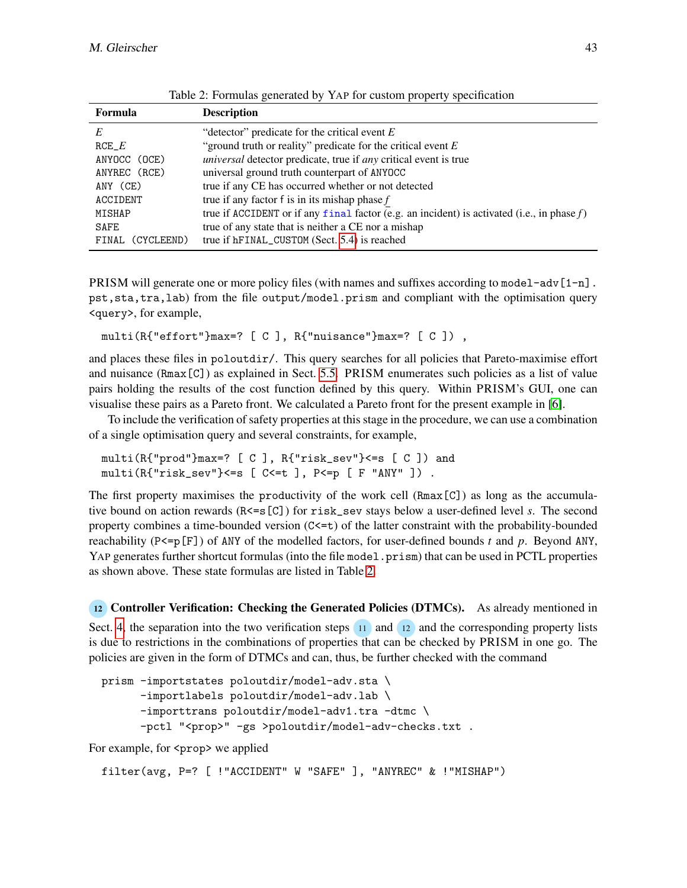| Formula          | <b>Description</b>                                                                            |
|------------------|-----------------------------------------------------------------------------------------------|
| E                | "detector" predicate for the critical event $E$                                               |
| $RCE\_E$         | "ground truth or reality" predicate for the critical event $E$                                |
| ANYOCC (OCE)     | <i>universal</i> detector predicate, true if <i>any</i> critical event is true                |
| ANYREC (RCE)     | universal ground truth counterpart of ANYOCC                                                  |
| ANY (CE)         | true if any CE has occurred whether or not detected                                           |
| ACCIDENT         | true if any factor f is in its mishap phase $f$                                               |
| MISHAP           | true if ACCIDENT or if any final factor (e.g. an incident) is activated (i.e., in phase $f$ ) |
| SAFE             | true of any state that is neither a CE nor a mishap                                           |
| FINAL (CYCLEEND) | true if hFINAL_CUSTOM (Sect. 5.4) is reached                                                  |

<span id="page-12-1"></span>Table 2: Formulas generated by YAP for custom property specification

PRISM will generate one or more policy files (with names and suffixes according to model-adv $[1-n]$ . pst,sta,tra,lab) from the file output/model.prism and compliant with the optimisation query <query>, for example,

multi(R{"effort"}max=? [ C ], R{"nuisance"}max=? [ C ]) ,

and places these files in poloutdir/. This query searches for all policies that Pareto-maximise effort and nuisance (Rmax[C]) as explained in Sect. [5.5.](#page-10-0) PRISM enumerates such policies as a list of value pairs holding the results of the cost function defined by this query. Within PRISM's GUI, one can visualise these pairs as a Pareto front. We calculated a Pareto front for the present example in [\[6\]](#page-15-2).

To include the verification of safety properties at this stage in the procedure, we can use a combination of a single optimisation query and several constraints, for example,

```
multi(R{"prod"}max=? [ C ], R{"risk_sev"}<=s [ C ]) and
multi(R{'risk\_sev"} <=s [ C <=t ], P <=p [ F "ANY" ] ).
```
The first property maximises the productivity of the work cell (Rmax[C]) as long as the accumulative bound on action rewards (R<=s[C]) for risk\_sev stays below a user-defined level *s*. The second property combines a time-bounded version  $(C \le t)$  of the latter constraint with the probability-bounded reachability (P<=p[F]) of ANY of the modelled factors, for user-defined bounds *t* and *p*. Beyond ANY, YAP generates further shortcut formulas (into the file model.prism) that can be used in PCTL properties as shown above. These state formulas are listed in Table [2.](#page-12-1)

<span id="page-12-0"></span><sup>12</sup> Controller Verification: Checking the Generated Policies (DTMCs). As already mentioned in Sect. [4,](#page-1-1) the separation into the two verification steps 11 and 12 and the corresponding property lists is due to restrictions in the combinations of properties that can be checked by PRISM in one go. The policies are given in the form of DTMCs and can, thus, be further checked with the command

```
prism -importstates poloutdir/model-adv.sta \
      -importlabels poloutdir/model-adv.lab \
      -importtrans poloutdir/model-adv1.tra -dtmc \
      -pctl "<prop>" -gs >poloutdir/model-adv-checks.txt .
```
For example, for  $\langle$ prop> we applied

filter(avg, P=? [ !"ACCIDENT" W "SAFE" ], "ANYREC" & !"MISHAP")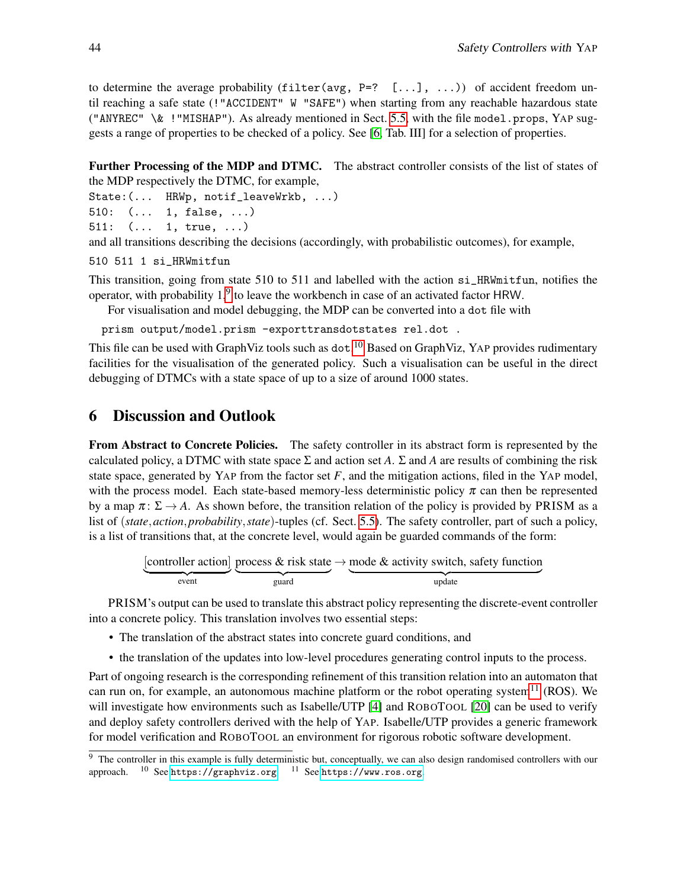to determine the average probability (filter( $avg, P=?$  [...], ...)) of accident freedom until reaching a safe state (!"ACCIDENT" W "SAFE") when starting from any reachable hazardous state ("ANYREC"  $\&$  !"MISHAP"). As already mentioned in Sect. [5.5,](#page-10-2) with the file model.props, YAP suggests a range of properties to be checked of a policy. See [\[6,](#page-15-2) Tab. III] for a selection of properties.

<span id="page-13-1"></span>Further Processing of the MDP and DTMC. The abstract controller consists of the list of states of the MDP respectively the DTMC, for example,

```
State:(... HRWp, notif_leaveWrkb, ...)
```

```
510: (... 1, false, ...)
```

```
511: (... 1, true, ...)
```
and all transitions describing the decisions (accordingly, with probabilistic outcomes), for example,

```
510 511 1 si_HRWmitfun
```
This transition, going from state 510 to 511 and labelled with the action si\_HRWmitfun, notifies the operator, with probability  $1<sup>9</sup>$  $1<sup>9</sup>$  $1<sup>9</sup>$  to leave the workbench in case of an activated factor HRW.

For visualisation and model debugging, the MDP can be converted into a dot file with

```
prism output/model.prism -exporttransdotstates rel.dot .
```
This file can be used with GraphViz tools such as dot.<sup>[10](#page-0-1)</sup> Based on GraphViz, YAP provides rudimentary facilities for the visualisation of the generated policy. Such a visualisation can be useful in the direct debugging of DTMCs with a state space of up to a size of around 1000 states.

# <span id="page-13-0"></span>6 Discussion and Outlook

From Abstract to Concrete Policies. The safety controller in its abstract form is represented by the calculated policy, a DTMC with state space  $\Sigma$  and action set *A*.  $\Sigma$  and *A* are results of combining the risk state space, generated by YAP from the factor set  $F$ , and the mitigation actions, filed in the YAP model, with the process model. Each state-based memory-less deterministic policy  $\pi$  can then be represented by a map  $\pi: \Sigma \to A$ . As shown before, the transition relation of the policy is provided by PRISM as a list of (*state*,*action*,*probability*,*state*)-tuples (cf. Sect. [5.5\)](#page-13-1). The safety controller, part of such a policy, is a list of transitions that, at the concrete level, would again be guarded commands of the form:

```
[controller action]
event
             process & risk state
             guard
                           \rightarrow mode & activity switch, safety function
                             update
```
PRISM's output can be used to translate this abstract policy representing the discrete-event controller into a concrete policy. This translation involves two essential steps:

- The translation of the abstract states into concrete guard conditions, and
- the translation of the updates into low-level procedures generating control inputs to the process.

Part of ongoing research is the corresponding refinement of this transition relation into an automaton that can run on, for example, an autonomous machine platform or the robot operating system<sup>[11](#page-0-1)</sup> (ROS). We will investigate how environments such as Isabelle/UTP [\[4\]](#page-15-13) and ROBOTOOL [\[20\]](#page-16-2) can be used to verify and deploy safety controllers derived with the help of YAP. Isabelle/UTP provides a generic framework for model verification and ROBOTOOL an environment for rigorous robotic software development.

<sup>&</sup>lt;sup>9</sup> The controller in this example is fully deterministic but, conceptually, we can also design randomised controllers with our approach.  $^{\rm 10}$  See <https://graphviz.org>.  $^{\rm 11}$  See <https://www.ros.org>.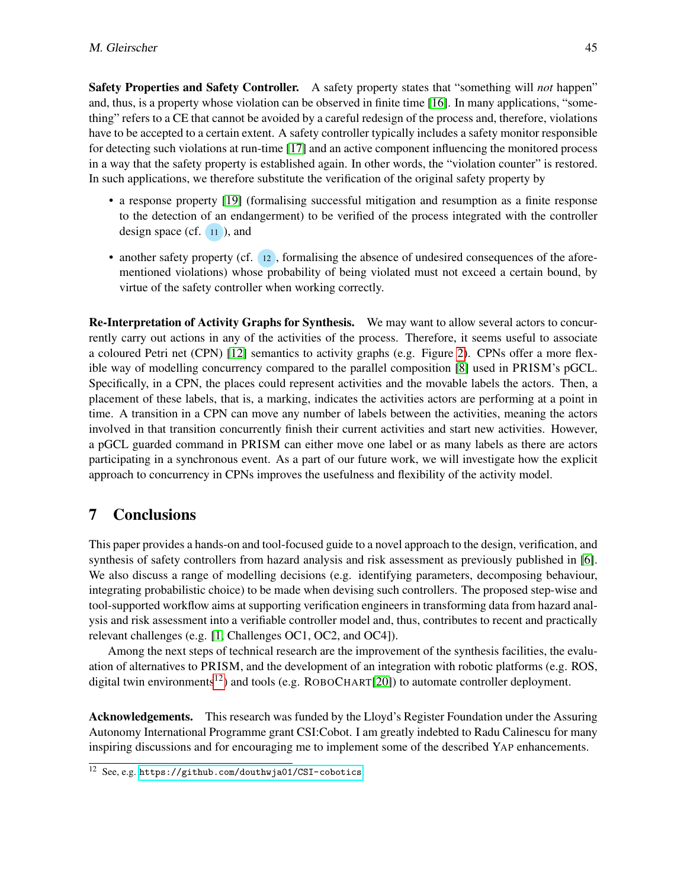Safety Properties and Safety Controller. A safety property states that "something will *not* happen" and, thus, is a property whose violation can be observed in finite time [\[16\]](#page-15-14). In many applications, "something" refers to a CE that cannot be avoided by a careful redesign of the process and, therefore, violations have to be accepted to a certain extent. A safety controller typically includes a safety monitor responsible for detecting such violations at run-time [\[17\]](#page-15-15) and an active component influencing the monitored process in a way that the safety property is established again. In other words, the "violation counter" is restored. In such applications, we therefore substitute the verification of the original safety property by

- a response property [\[19\]](#page-15-16) (formalising successful mitigation and resumption as a finite response to the detection of an endangerment) to be verified of the process integrated with the controller design space (cf.  $(11)$ ), and
- another safety property (cf. 12), formalising the absence of undesired consequences of the aforementioned violations) whose probability of being violated must not exceed a certain bound, by virtue of the safety controller when working correctly.

Re-Interpretation of Activity Graphs for Synthesis. We may want to allow several actors to concurrently carry out actions in any of the activities of the process. Therefore, it seems useful to associate a coloured Petri net (CPN) [\[12\]](#page-15-17) semantics to activity graphs (e.g. Figure [2\)](#page-5-1). CPNs offer a more flexible way of modelling concurrency compared to the parallel composition [\[8\]](#page-15-7) used in PRISM's pGCL. Specifically, in a CPN, the places could represent activities and the movable labels the actors. Then, a placement of these labels, that is, a marking, indicates the activities actors are performing at a point in time. A transition in a CPN can move any number of labels between the activities, meaning the actors involved in that transition concurrently finish their current activities and start new activities. However, a pGCL guarded command in PRISM can either move one label or as many labels as there are actors participating in a synchronous event. As a part of our future work, we will investigate how the explicit approach to concurrency in CPNs improves the usefulness and flexibility of the activity model.

# <span id="page-14-0"></span>7 Conclusions

This paper provides a hands-on and tool-focused guide to a novel approach to the design, verification, and synthesis of safety controllers from hazard analysis and risk assessment as previously published in [\[6\]](#page-15-2). We also discuss a range of modelling decisions (e.g. identifying parameters, decomposing behaviour, integrating probabilistic choice) to be made when devising such controllers. The proposed step-wise and tool-supported workflow aims at supporting verification engineers in transforming data from hazard analysis and risk assessment into a verifiable controller model and, thus, contributes to recent and practically relevant challenges (e.g. [\[1,](#page-15-18) Challenges OC1, OC2, and OC4]).

Among the next steps of technical research are the improvement of the synthesis facilities, the evaluation of alternatives to PRISM, and the development of an integration with robotic platforms (e.g. ROS, digital twin environments<sup>[12](#page-0-1)</sup>) and tools (e.g.  $ROBOLHART[20]$  $ROBOLHART[20]$ ) to automate controller deployment.

Acknowledgements. This research was funded by the Lloyd's Register Foundation under the Assuring Autonomy International Programme grant CSI:Cobot. I am greatly indebted to Radu Calinescu for many inspiring discussions and for encouraging me to implement some of the described YAP enhancements.

<sup>12</sup> See, e.g. <https://github.com/douthwja01/CSI-cobotics>.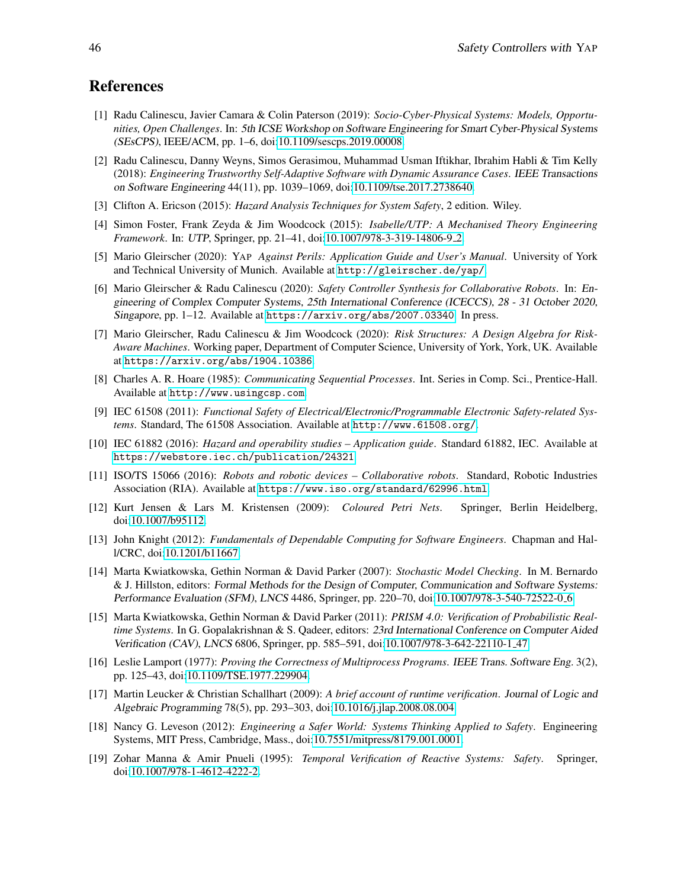## References

- <span id="page-15-18"></span>[1] Radu Calinescu, Javier Camara & Colin Paterson (2019): *Socio-Cyber-Physical Systems: Models, Opportunities, Open Challenges*. In: 5th ICSE Workshop on Software Engineering for Smart Cyber-Physical Systems (SEsCPS), IEEE/ACM, pp. 1–6, doi[:10.1109/sescps.2019.00008.](http://dx.doi.org/10.1109/sescps.2019.00008)
- <span id="page-15-4"></span>[2] Radu Calinescu, Danny Weyns, Simos Gerasimou, Muhammad Usman Iftikhar, Ibrahim Habli & Tim Kelly (2018): *Engineering Trustworthy Self-Adaptive Software with Dynamic Assurance Cases*. IEEE Transactions on Software Engineering 44(11), pp. 1039–1069, doi[:10.1109/tse.2017.2738640.](http://dx.doi.org/10.1109/tse.2017.2738640)
- <span id="page-15-11"></span>[3] Clifton A. Ericson (2015): *Hazard Analysis Techniques for System Safety*, 2 edition. Wiley.
- <span id="page-15-13"></span>[4] Simon Foster, Frank Zeyda & Jim Woodcock (2015): *Isabelle/UTP: A Mechanised Theory Engineering Framework*. In: UTP, Springer, pp. 21–41, doi[:10.1007/978-3-319-14806-9](http://dx.doi.org/10.1007/978-3-319-14806-9_2) 2.
- <span id="page-15-3"></span>[5] Mario Gleirscher (2020): YAP *Against Perils: Application Guide and User's Manual*. University of York and Technical University of Munich. Available at <http://gleirscher.de/yap/>.
- <span id="page-15-2"></span>[6] Mario Gleirscher & Radu Calinescu (2020): *Safety Controller Synthesis for Collaborative Robots*. In: Engineering of Complex Computer Systems, 25th International Conference (ICECCS), 28 - 31 October 2020, Singapore, pp. 1–12. Available at <https://arxiv.org/abs/2007.03340>. In press.
- <span id="page-15-5"></span>[7] Mario Gleirscher, Radu Calinescu & Jim Woodcock (2020): *Risk Structures: A Design Algebra for Risk-Aware Machines*. Working paper, Department of Computer Science, University of York, York, UK. Available at <https://arxiv.org/abs/1904.10386>.
- <span id="page-15-7"></span>[8] Charles A. R. Hoare (1985): *Communicating Sequential Processes*. Int. Series in Comp. Sci., Prentice-Hall. Available at <http://www.usingcsp.com>.
- <span id="page-15-1"></span>[9] IEC 61508 (2011): *Functional Safety of Electrical/Electronic/Programmable Electronic Safety-related Systems*. Standard, The 61508 Association. Available at <http://www.61508.org/>.
- <span id="page-15-8"></span>[10] IEC 61882 (2016): *Hazard and operability studies – Application guide*. Standard 61882, IEC. Available at <https://webstore.iec.ch/publication/24321>.
- <span id="page-15-0"></span>[11] ISO/TS 15066 (2016): *Robots and robotic devices – Collaborative robots*. Standard, Robotic Industries Association (RIA). Available at <https://www.iso.org/standard/62996.html>.
- <span id="page-15-17"></span>[12] Kurt Jensen & Lars M. Kristensen (2009): *Coloured Petri Nets*. Springer, Berlin Heidelberg, doi[:10.1007/b95112.](http://dx.doi.org/10.1007/b95112)
- <span id="page-15-10"></span>[13] John Knight (2012): *Fundamentals of Dependable Computing for Software Engineers*. Chapman and Hall/CRC, doi[:10.1201/b11667.](http://dx.doi.org/10.1201/b11667)
- <span id="page-15-12"></span>[14] Marta Kwiatkowska, Gethin Norman & David Parker (2007): *Stochastic Model Checking*. In M. Bernardo & J. Hillston, editors: Formal Methods for the Design of Computer, Communication and Software Systems: Performance Evaluation (SFM), LNCS 4486, Springer, pp. 220–70, doi[:10.1007/978-3-540-72522-0](http://dx.doi.org/10.1007/978-3-540-72522-0_6) 6.
- <span id="page-15-6"></span>[15] Marta Kwiatkowska, Gethin Norman & David Parker (2011): *PRISM 4.0: Verification of Probabilistic Realtime Systems*. In G. Gopalakrishnan & S. Qadeer, editors: 23rd International Conference on Computer Aided Verification (CAV), LNCS 6806, Springer, pp. 585–591, doi[:10.1007/978-3-642-22110-1](http://dx.doi.org/10.1007/978-3-642-22110-1_47) 47.
- <span id="page-15-14"></span>[16] Leslie Lamport (1977): *Proving the Correctness of Multiprocess Programs*. IEEE Trans. Software Eng. 3(2), pp. 125–43, doi[:10.1109/TSE.1977.229904.](http://dx.doi.org/10.1109/TSE.1977.229904)
- <span id="page-15-15"></span>[17] Martin Leucker & Christian Schallhart (2009): *A brief account of runtime verification*. Journal of Logic and Algebraic Programming 78(5), pp. 293–303, doi[:10.1016/j.jlap.2008.08.004.](http://dx.doi.org/10.1016/j.jlap.2008.08.004)
- <span id="page-15-9"></span>[18] Nancy G. Leveson (2012): *Engineering a Safer World: Systems Thinking Applied to Safety*. Engineering Systems, MIT Press, Cambridge, Mass., doi[:10.7551/mitpress/8179.001.0001.](http://dx.doi.org/10.7551/mitpress/8179.001.0001)
- <span id="page-15-16"></span>[19] Zohar Manna & Amir Pnueli (1995): *Temporal Verification of Reactive Systems: Safety*. Springer, doi[:10.1007/978-1-4612-4222-2.](http://dx.doi.org/10.1007/978-1-4612-4222-2)